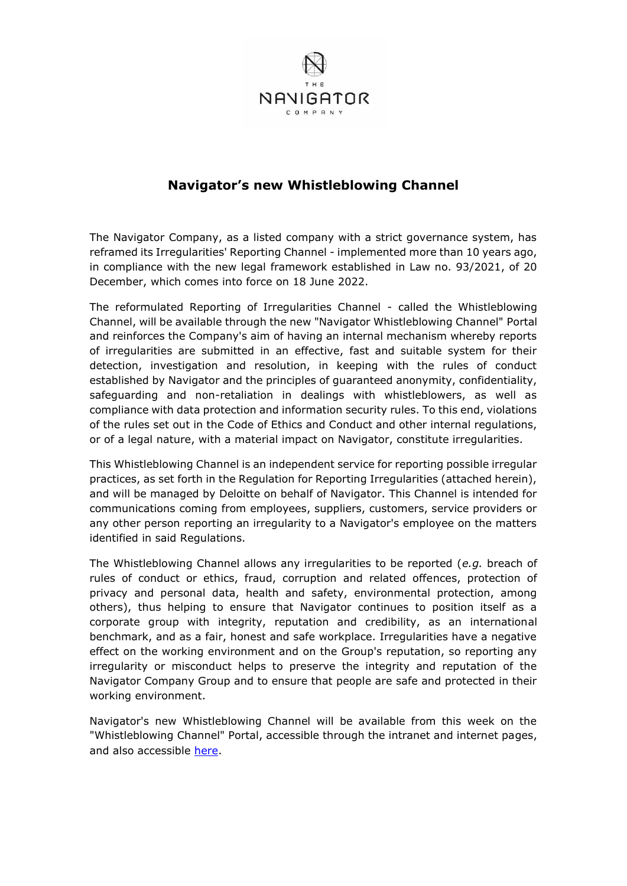

# **Navigator's new Whistleblowing Channel**

The Navigator Company, as a listed company with a strict governance system, has reframed its Irregularities' Reporting Channel - implemented more than 10 years ago, in compliance with the new legal framework established in Law no. 93/2021, of 20 December, which comes into force on 18 June 2022.

The reformulated Reporting of Irregularities Channel - called the Whistleblowing Channel, will be available through the new "Navigator Whistleblowing Channel" Portal and reinforces the Company's aim of having an internal mechanism whereby reports of irregularities are submitted in an effective, fast and suitable system for their detection, investigation and resolution, in keeping with the rules of conduct established by Navigator and the principles of guaranteed anonymity, confidentiality, safeguarding and non-retaliation in dealings with whistleblowers, as well as compliance with data protection and information security rules. To this end, violations of the rules set out in the Code of Ethics and Conduct and other internal regulations, or of a legal nature, with a material impact on Navigator, constitute irregularities.

This Whistleblowing Channel is an independent service for reporting possible irregular practices, as set forth in the Regulation for Reporting Irregularities (attached herein), and will be managed by Deloitte on behalf of Navigator. This Channel is intended for communications coming from employees, suppliers, customers, service providers or any other person reporting an irregularity to a Navigator's employee on the matters identified in said Regulations.

The Whistleblowing Channel allows any irregularities to be reported (*e.g.* breach of rules of conduct or ethics, fraud, corruption and related offences, protection of privacy and personal data, health and safety, environmental protection, among others), thus helping to ensure that Navigator continues to position itself as a corporate group with integrity, reputation and credibility, as an international benchmark, and as a fair, honest and safe workplace. Irregularities have a negative effect on the working environment and on the Group's reputation, so reporting any irregularity or misconduct helps to preserve the integrity and reputation of the Navigator Company Group and to ensure that people are safe and protected in their working environment.

Navigator's new Whistleblowing Channel will be available from this week on the "Whistleblowing Channel" Portal, accessible through the intranet and internet pages, and also accessible [here.](https://eu.deloitte-halo.com/whistleblower/website/navigator?Pg=1&Lang=en-US)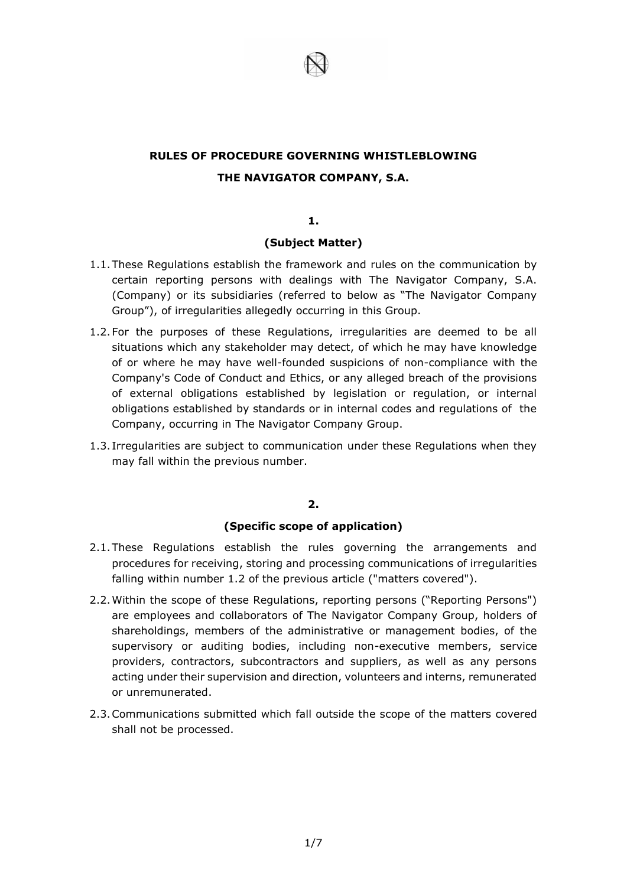

# **RULES OF PROCEDURE GOVERNING WHISTLEBLOWING THE NAVIGATOR COMPANY, S.A.**

#### **1.**

# **(Subject Matter)**

- 1.1.These Regulations establish the framework and rules on the communication by certain reporting persons with dealings with The Navigator Company, S.A. (Company) or its subsidiaries (referred to below as "The Navigator Company Group"), of irregularities allegedly occurring in this Group.
- 1.2.For the purposes of these Regulations, irregularities are deemed to be all situations which any stakeholder may detect, of which he may have knowledge of or where he may have well-founded suspicions of non-compliance with the Company's Code of Conduct and Ethics, or any alleged breach of the provisions of external obligations established by legislation or regulation, or internal obligations established by standards or in internal codes and regulations of the Company, occurring in The Navigator Company Group.
- 1.3. Irregularities are subject to communication under these Regulations when they may fall within the previous number.

# **2.**

#### **(Specific scope of application)**

- 2.1.These Regulations establish the rules governing the arrangements and procedures for receiving, storing and processing communications of irregularities falling within number 1.2 of the previous article ("matters covered").
- 2.2.Within the scope of these Regulations, reporting persons ("Reporting Persons") are employees and collaborators of The Navigator Company Group, holders of shareholdings, members of the administrative or management bodies, of the supervisory or auditing bodies, including non-executive members, service providers, contractors, subcontractors and suppliers, as well as any persons acting under their supervision and direction, volunteers and interns, remunerated or unremunerated.
- 2.3.Communications submitted which fall outside the scope of the matters covered shall not be processed.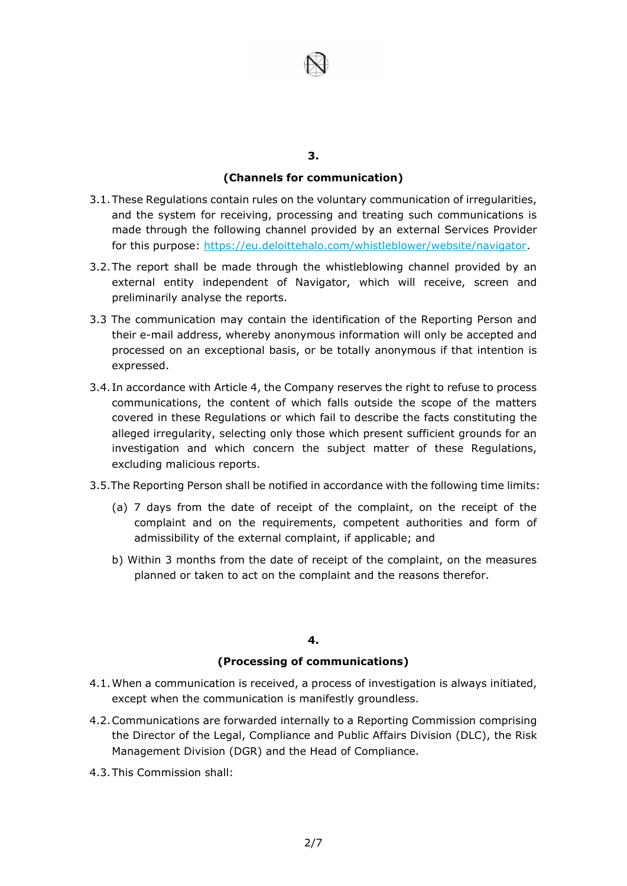

### **(Channels for communication)**

- 3.1.These Regulations contain rules on the voluntary communication of irregularities, and the system for receiving, processing and treating such communications is made through the following channel provided by an external Services Provider for this purpose: https://eu.deloittehalo.com/whistleblower/website/navigator.
- 3.2.The report shall be made through the whistleblowing channel provided by an external entity independent of Navigator, which will receive, screen and preliminarily analyse the reports.
- 3.3 The communication may contain the identification of the Reporting Person and their e-mail address, whereby anonymous information will only be accepted and processed on an exceptional basis, or be totally anonymous if that intention is expressed.
- 3.4. In accordance with Article 4, the Company reserves the right to refuse to process communications, the content of which falls outside the scope of the matters covered in these Regulations or which fail to describe the facts constituting the alleged irregularity, selecting only those which present sufficient grounds for an investigation and which concern the subject matter of these Regulations, excluding malicious reports.
- 3.5.The Reporting Person shall be notified in accordance with the following time limits:
	- (a) 7 days from the date of receipt of the complaint, on the receipt of the complaint and on the requirements, competent authorities and form of admissibility of the external complaint, if applicable; and
	- b) Within 3 months from the date of receipt of the complaint, on the measures planned or taken to act on the complaint and the reasons therefor.

# **4.**

#### **(Processing of communications)**

- 4.1.When a communication is received, a process of investigation is always initiated, except when the communication is manifestly groundless.
- 4.2.Communications are forwarded internally to a Reporting Commission comprising the Director of the Legal, Compliance and Public Affairs Division (DLC), the Risk Management Division (DGR) and the Head of Compliance.
- 4.3.This Commission shall: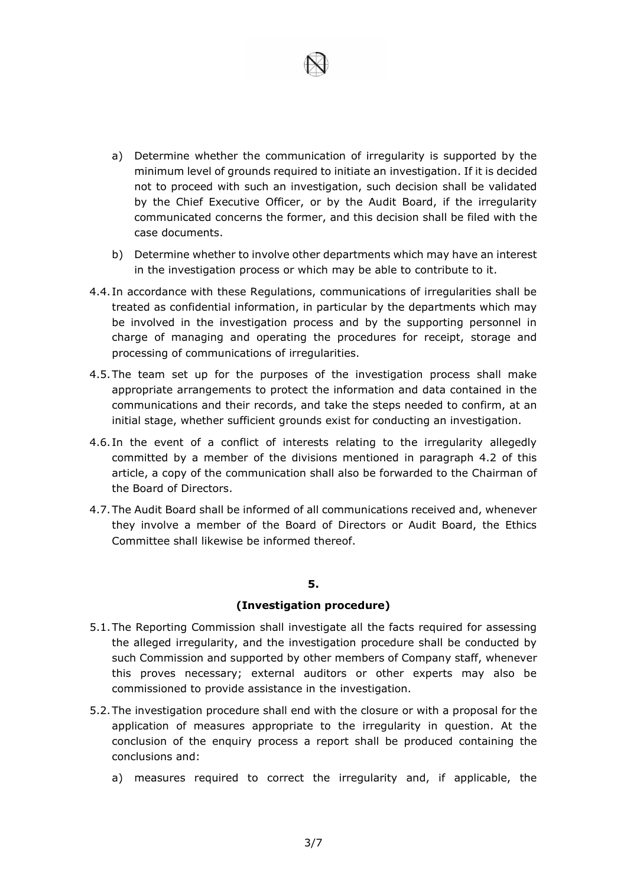- a) Determine whether the communication of irregularity is supported by the minimum level of grounds required to initiate an investigation. If it is decided not to proceed with such an investigation, such decision shall be validated by the Chief Executive Officer, or by the Audit Board, if the irregularity communicated concerns the former, and this decision shall be filed with the case documents.
- b) Determine whether to involve other departments which may have an interest in the investigation process or which may be able to contribute to it.
- 4.4. In accordance with these Regulations, communications of irregularities shall be treated as confidential information, in particular by the departments which may be involved in the investigation process and by the supporting personnel in charge of managing and operating the procedures for receipt, storage and processing of communications of irregularities.
- 4.5.The team set up for the purposes of the investigation process shall make appropriate arrangements to protect the information and data contained in the communications and their records, and take the steps needed to confirm, at an initial stage, whether sufficient grounds exist for conducting an investigation.
- 4.6. In the event of a conflict of interests relating to the irregularity allegedly committed by a member of the divisions mentioned in paragraph 4.2 of this article, a copy of the communication shall also be forwarded to the Chairman of the Board of Directors.
- 4.7.The Audit Board shall be informed of all communications received and, whenever they involve a member of the Board of Directors or Audit Board, the Ethics Committee shall likewise be informed thereof.

#### **(Investigation procedure)**

- 5.1.The Reporting Commission shall investigate all the facts required for assessing the alleged irregularity, and the investigation procedure shall be conducted by such Commission and supported by other members of Company staff, whenever this proves necessary; external auditors or other experts may also be commissioned to provide assistance in the investigation.
- 5.2.The investigation procedure shall end with the closure or with a proposal for the application of measures appropriate to the irregularity in question. At the conclusion of the enquiry process a report shall be produced containing the conclusions and:
	- a) measures required to correct the irregularity and, if applicable, the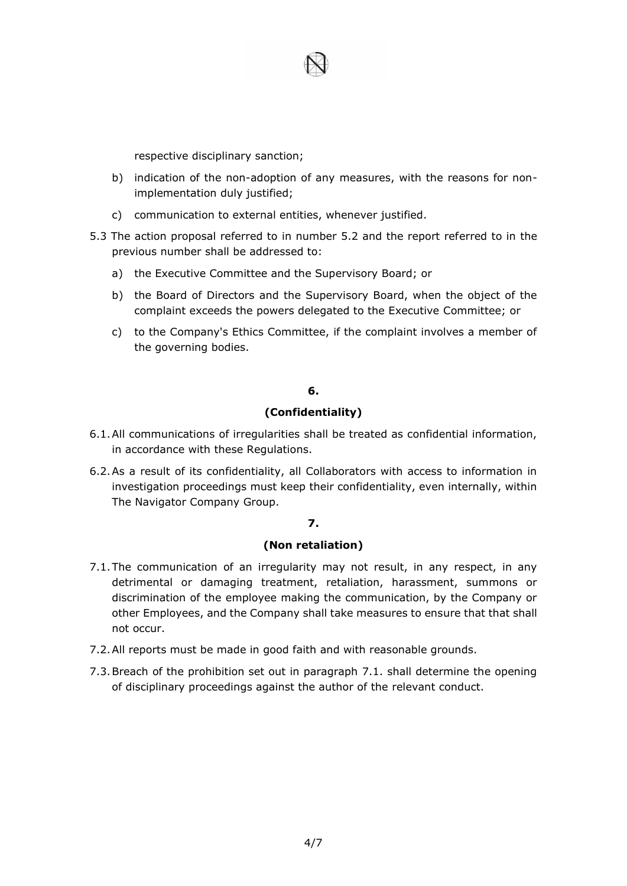

respective disciplinary sanction;

- b) indication of the non-adoption of any measures, with the reasons for nonimplementation duly justified;
- c) communication to external entities, whenever justified.
- 5.3 The action proposal referred to in number 5.2 and the report referred to in the previous number shall be addressed to:
	- a) the Executive Committee and the Supervisory Board; or
	- b) the Board of Directors and the Supervisory Board, when the object of the complaint exceeds the powers delegated to the Executive Committee; or
	- c) to the Company's Ethics Committee, if the complaint involves a member of the governing bodies.

# **6.**

# **(Confidentiality)**

- 6.1.All communications of irregularities shall be treated as confidential information, in accordance with these Regulations.
- 6.2.As a result of its confidentiality, all Collaborators with access to information in investigation proceedings must keep their confidentiality, even internally, within The Navigator Company Group.

#### **7.**

#### **(Non retaliation)**

- 7.1.The communication of an irregularity may not result, in any respect, in any detrimental or damaging treatment, retaliation, harassment, summons or discrimination of the employee making the communication, by the Company or other Employees, and the Company shall take measures to ensure that that shall not occur.
- 7.2.All reports must be made in good faith and with reasonable grounds.
- 7.3.Breach of the prohibition set out in paragraph 7.1. shall determine the opening of disciplinary proceedings against the author of the relevant conduct.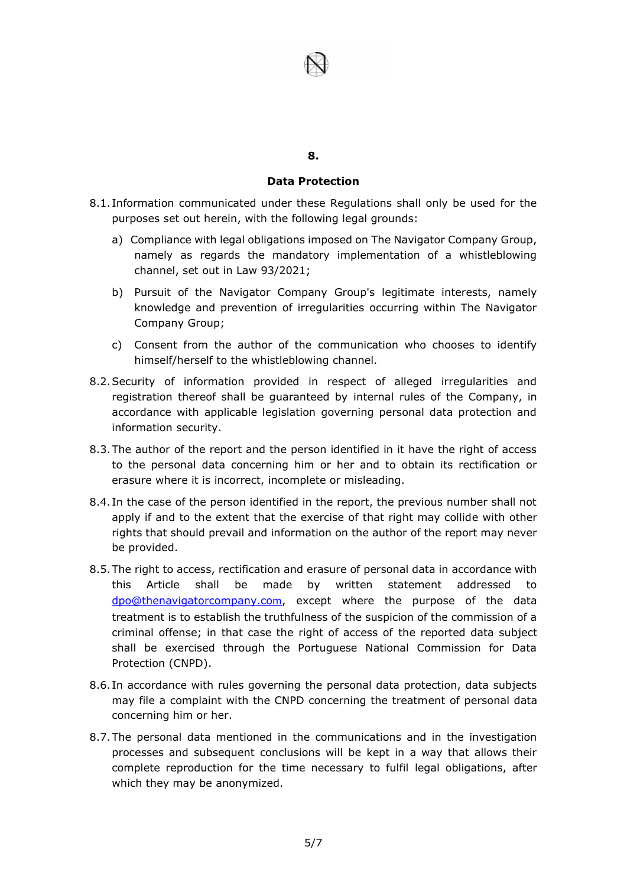# **Data Protection**

- 8.1. Information communicated under these Regulations shall only be used for the purposes set out herein, with the following legal grounds:
	- a) Compliance with legal obligations imposed on The Navigator Company Group, namely as regards the mandatory implementation of a whistleblowing channel, set out in Law 93/2021;
	- b) Pursuit of the Navigator Company Group's legitimate interests, namely knowledge and prevention of irregularities occurring within The Navigator Company Group;
	- c) Consent from the author of the communication who chooses to identify himself/herself to the whistleblowing channel.
- 8.2.Security of information provided in respect of alleged irregularities and registration thereof shall be guaranteed by internal rules of the Company, in accordance with applicable legislation governing personal data protection and information security.
- 8.3.The author of the report and the person identified in it have the right of access to the personal data concerning him or her and to obtain its rectification or erasure where it is incorrect, incomplete or misleading.
- 8.4. In the case of the person identified in the report, the previous number shall not apply if and to the extent that the exercise of that right may collide with other rights that should prevail and information on the author of the report may never be provided.
- 8.5.The right to access, rectification and erasure of personal data in accordance with this Article shall be made by written statement addressed to [dpo@thenavigatorcompany.co](mailto:dpo@thenavigatorcompany.co)m, except where the purpose of the data treatment is to establish the truthfulness of the suspicion of the commission of a criminal offense; in that case the right of access of the reported data subject shall be exercised through the Portuguese National Commission for Data Protection (CNPD).
- 8.6. In accordance with rules governing the personal data protection, data subjects may file a complaint with the CNPD concerning the treatment of personal data concerning him or her.
- 8.7.The personal data mentioned in the communications and in the investigation processes and subsequent conclusions will be kept in a way that allows their complete reproduction for the time necessary to fulfil legal obligations, after which they may be anonymized.